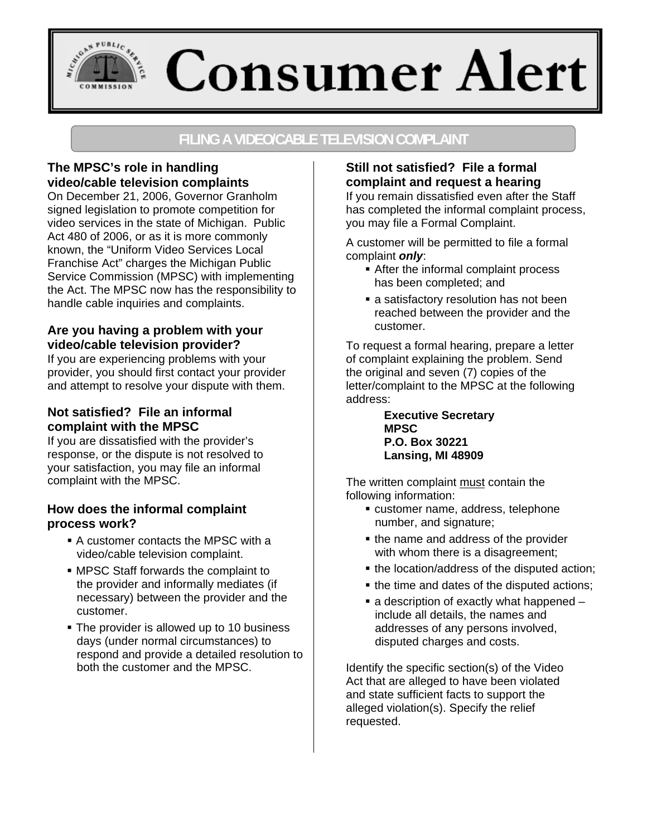# SOAN PUBLIC SEAL **Consumer Alert**

## **FILING A VIDEO/CABLE TELEVISION COMPLAINT**

## **The MPSC's role in handling video/cable television complaints**

On December 21, 2006, Governor Granholm signed legislation to promote competition for video services in the state of Michigan. Public Act 480 of 2006, or as it is more commonly known, the "Uniform Video Services Local Franchise Act" charges the Michigan Public Service Commission (MPSC) with implementing the Act. The MPSC now has the responsibility to handle cable inquiries and complaints.

## **Are you having a problem with your video/cable television provider?**

If you are experiencing problems with your provider, you should first contact your provider and attempt to resolve your dispute with them.

## **Not satisfied? File an informal complaint with the MPSC**

If you are dissatisfied with the provider's response, or the dispute is not resolved to your satisfaction, you may file an informal complaint with the MPSC.

## **How does the informal complaint process work?**

- A customer contacts the MPSC with a video/cable television complaint.
- MPSC Staff forwards the complaint to the provider and informally mediates (if necessary) between the provider and the customer.
- **The provider is allowed up to 10 business** days (under normal circumstances) to respond and provide a detailed resolution to both the customer and the MPSC.

## **Still not satisfied? File a formal complaint and request a hearing**

If you remain dissatisfied even after the Staff has completed the informal complaint process, you may file a Formal Complaint.

A customer will be permitted to file a formal complaint *only*:

- **After the informal complaint process** has been completed; and
- **a** satisfactory resolution has not been reached between the provider and the customer.

To request a formal hearing, prepare a letter of complaint explaining the problem. Send the original and seven (7) copies of the letter/complaint to the MPSC at the following address:

> **Executive Secretary MPSC P.O. Box 30221 Lansing, MI 48909**

The written complaint must contain the following information:

- customer name, address, telephone number, and signature;
- the name and address of the provider with whom there is a disagreement;
- the location/address of the disputed action;
- the time and dates of the disputed actions;
- $\blacksquare$  a description of exactly what happened  $\blacksquare$ include all details, the names and addresses of any persons involved, disputed charges and costs.

Identify the specific section(s) of the Video Act that are alleged to have been violated and state sufficient facts to support the alleged violation(s). Specify the relief requested.